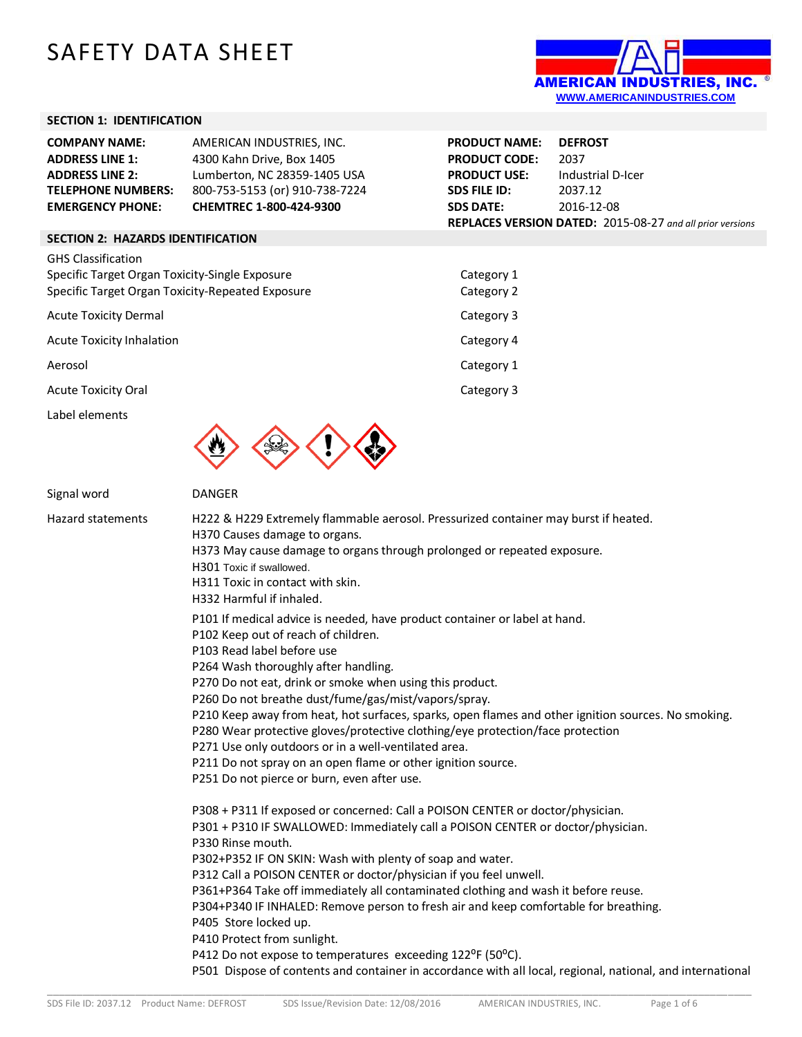# SAFETY DATA SHEET



#### **SECTION 1: IDENTIFICATION**

| <b>COMPANY NAME:</b>      | AMERICAN INDUSTRIES, INC.      | <b>PRODUCT NAME:</b> | <b>DEFROST</b>                                            |
|---------------------------|--------------------------------|----------------------|-----------------------------------------------------------|
| <b>ADDRESS LINE 1:</b>    | 4300 Kahn Drive, Box 1405      | <b>PRODUCT CODE:</b> | 2037                                                      |
| <b>ADDRESS LINE 2:</b>    | Lumberton, NC 28359-1405 USA   | <b>PRODUCT USE:</b>  | Industrial D-Icer                                         |
| <b>TELEPHONE NUMBERS:</b> | 800-753-5153 (or) 910-738-7224 | <b>SDS FILE ID:</b>  | 2037.12                                                   |
| <b>EMERGENCY PHONE:</b>   | <b>CHEMTREC 1-800-424-9300</b> | <b>SDS DATE:</b>     | 2016-12-08                                                |
|                           |                                |                      | REPLACES VERSION DATED: 2015-08-27 and all prior versions |

#### **SECTION 2: HAZARDS IDENTIFICATION**

| <b>GHS Classification</b>                        |            |
|--------------------------------------------------|------------|
| Specific Target Organ Toxicity-Single Exposure   | Category 1 |
| Specific Target Organ Toxicity-Repeated Exposure | Category 2 |
| <b>Acute Toxicity Dermal</b>                     | Category 3 |
| Acute Toxicity Inhalation                        | Category 4 |
| Aerosol                                          | Category 1 |
| <b>Acute Toxicity Oral</b>                       | Category 3 |
| Label elements                                   |            |



# Signal word DANGER Hazard statements H222 & H229 Extremely flammable aerosol. Pressurized container may burst if heated. H370 Causes damage to organs. H373 May cause damage to organs through prolonged or repeated exposure. H301 Toxic if swallowed. H311 Toxic in contact with skin. H332 Harmful if inhaled. P101 If medical advice is needed, have product container or label at hand. P102 Keep out of reach of children. P103 Read label before use P264 Wash thoroughly after handling. P270 Do not eat, drink or smoke when using this product. P260 Do not breathe dust/fume/gas/mist/vapors/spray. P210 Keep away from heat, hot surfaces, sparks, open flames and other ignition sources. No smoking. P280 Wear protective gloves/protective clothing/eye protection/face protection P271 Use only outdoors or in a well-ventilated area. P211 Do not spray on an open flame or other ignition source. P251 Do not pierce or burn, even after use. P308 + P311 If exposed or concerned: Call a POISON CENTER or doctor/physician. P301 + P310 IF SWALLOWED: Immediately call a POISON CENTER or doctor/physician. P330 Rinse mouth. P302+P352 IF ON SKIN: Wash with plenty of soap and water. P312 Call a POISON CENTER or doctor/physician if you feel unwell. P361+P364 Take off immediately all contaminated clothing and wash it before reuse. P304+P340 IF INHALED: Remove person to fresh air and keep comfortable for breathing. P405 Store locked up. P410 Protect from sunlight. P412 Do not expose to temperatures exceeding 122°F (50°C). P501 Dispose of contents and container in accordance with all local, regional, national, and international

\_\_\_\_\_\_\_\_\_\_\_\_\_\_\_\_\_\_\_\_\_\_\_\_\_\_\_\_\_\_\_\_\_\_\_\_\_\_\_\_\_\_\_\_\_\_\_\_\_\_\_\_\_\_\_\_\_\_\_\_\_\_\_\_\_\_\_\_\_\_\_\_\_\_\_\_\_\_\_\_\_\_\_\_\_\_\_\_\_\_\_\_\_\_\_\_\_\_\_\_\_\_\_\_\_\_\_\_\_\_\_\_\_\_\_\_\_\_\_\_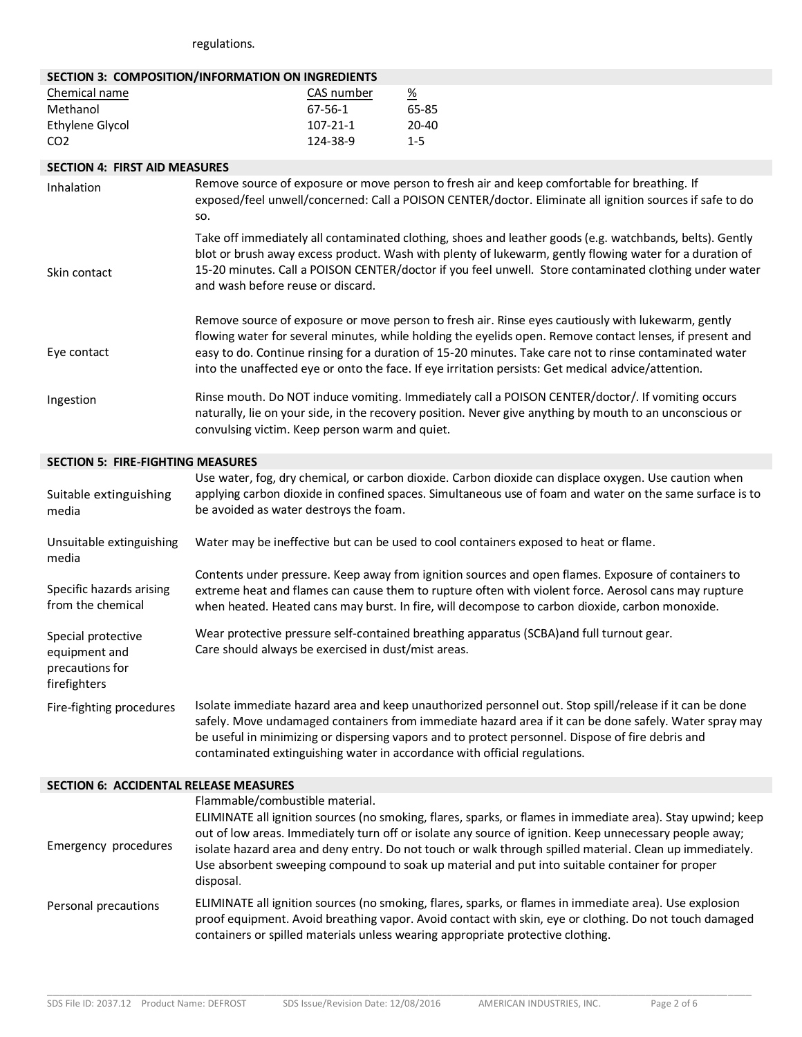regulations.

#### **SECTION 3: COMPOSITION/INFORMATION ON INGREDIENTS**

| Chemical name   | CAS number     | <u>%</u> |
|-----------------|----------------|----------|
| Methanol        | 67-56-1        | 65-85    |
| Ethylene Glycol | $107 - 21 - 1$ | 20-40    |
| CO <sub>2</sub> | 124-38-9       | $1 - 5$  |

# **SECTION 4: FIRST AID MEASURES**

| Inhalation   | Remove source of exposure or move person to fresh air and keep comfortable for breathing. If<br>exposed/feel unwell/concerned: Call a POISON CENTER/doctor. Eliminate all ignition sources if safe to do<br>SO.                                                                                                                                                                                                                  |
|--------------|----------------------------------------------------------------------------------------------------------------------------------------------------------------------------------------------------------------------------------------------------------------------------------------------------------------------------------------------------------------------------------------------------------------------------------|
| Skin contact | Take off immediately all contaminated clothing, shoes and leather goods (e.g. watchbands, belts). Gently<br>blot or brush away excess product. Wash with plenty of lukewarm, gently flowing water for a duration of<br>15-20 minutes. Call a POISON CENTER/doctor if you feel unwell. Store contaminated clothing under water<br>and wash before reuse or discard.                                                               |
| Eye contact  | Remove source of exposure or move person to fresh air. Rinse eyes cautiously with lukewarm, gently<br>flowing water for several minutes, while holding the eyelids open. Remove contact lenses, if present and<br>easy to do. Continue rinsing for a duration of 15-20 minutes. Take care not to rinse contaminated water<br>into the unaffected eye or onto the face. If eye irritation persists: Get medical advice/attention. |
| Ingestion    | Rinse mouth. Do NOT induce vomiting. Immediately call a POISON CENTER/doctor/. If vomiting occurs<br>naturally, lie on your side, in the recovery position. Never give anything by mouth to an unconscious or<br>convulsing victim. Keep person warm and quiet.                                                                                                                                                                  |

## **SECTION 5: FIRE-FIGHTING MEASURES**

| Suitable extinguishing<br>media                                        | Use water, fog, dry chemical, or carbon dioxide. Carbon dioxide can displace oxygen. Use caution when<br>applying carbon dioxide in confined spaces. Simultaneous use of foam and water on the same surface is to<br>be avoided as water destroys the foam.                                                                                                                                         |
|------------------------------------------------------------------------|-----------------------------------------------------------------------------------------------------------------------------------------------------------------------------------------------------------------------------------------------------------------------------------------------------------------------------------------------------------------------------------------------------|
| Unsuitable extinguishing<br>media                                      | Water may be ineffective but can be used to cool containers exposed to heat or flame.                                                                                                                                                                                                                                                                                                               |
| Specific hazards arising<br>from the chemical                          | Contents under pressure. Keep away from ignition sources and open flames. Exposure of containers to<br>extreme heat and flames can cause them to rupture often with violent force. Aerosol cans may rupture<br>when heated. Heated cans may burst. In fire, will decompose to carbon dioxide, carbon monoxide.                                                                                      |
| Special protective<br>equipment and<br>precautions for<br>firefighters | Wear protective pressure self-contained breathing apparatus (SCBA) and full turnout gear.<br>Care should always be exercised in dust/mist areas.                                                                                                                                                                                                                                                    |
| Fire-fighting procedures                                               | Isolate immediate hazard area and keep unauthorized personnel out. Stop spill/release if it can be done<br>safely. Move undamaged containers from immediate hazard area if it can be done safely. Water spray may<br>be useful in minimizing or dispersing vapors and to protect personnel. Dispose of fire debris and<br>contaminated extinguishing water in accordance with official regulations. |

| <b>SECTION 6: ACCIDENTAL RELEASE MEASURES</b> |                                                                                                                                                                                                                                                                                                                                                                                                                                                                                      |
|-----------------------------------------------|--------------------------------------------------------------------------------------------------------------------------------------------------------------------------------------------------------------------------------------------------------------------------------------------------------------------------------------------------------------------------------------------------------------------------------------------------------------------------------------|
| Emergency procedures                          | Flammable/combustible material.<br>ELIMINATE all ignition sources (no smoking, flares, sparks, or flames in immediate area). Stay upwind; keep<br>out of low areas. Immediately turn off or isolate any source of ignition. Keep unnecessary people away;<br>isolate hazard area and deny entry. Do not touch or walk through spilled material. Clean up immediately.<br>Use absorbent sweeping compound to soak up material and put into suitable container for proper<br>disposal. |
| Personal precautions                          | ELIMINATE all ignition sources (no smoking, flares, sparks, or flames in immediate area). Use explosion<br>proof equipment. Avoid breathing vapor. Avoid contact with skin, eye or clothing. Do not touch damaged<br>containers or spilled materials unless wearing appropriate protective clothing.                                                                                                                                                                                 |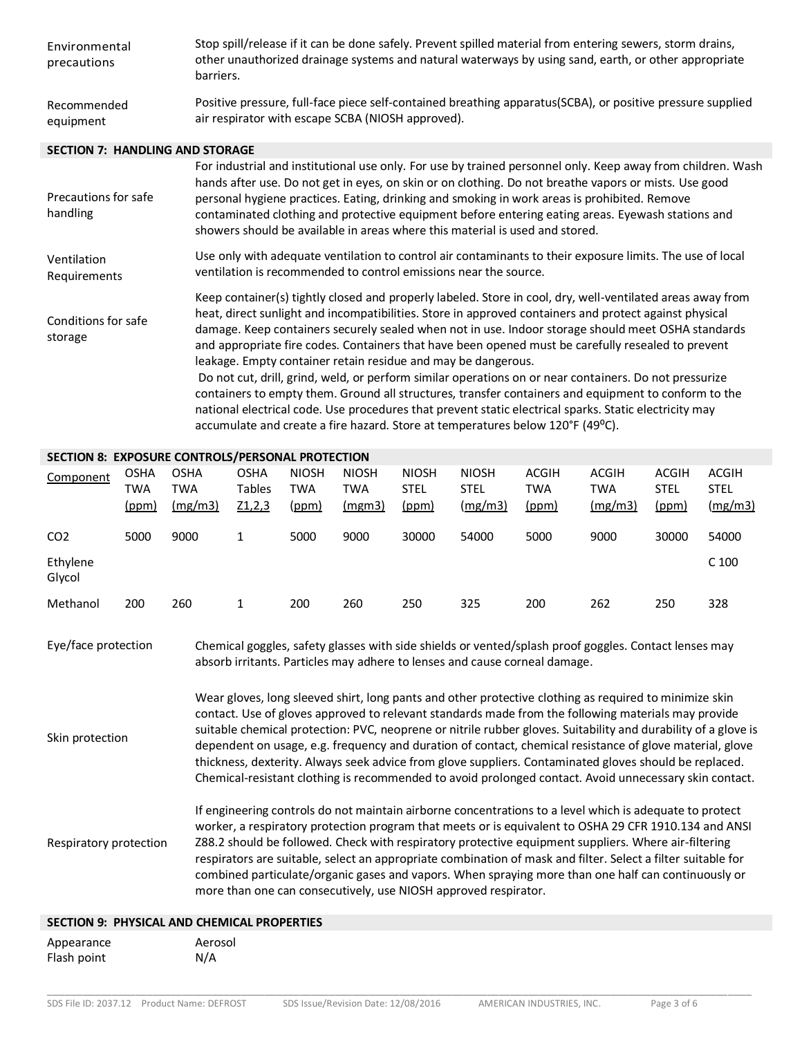| Environmental<br>precautions           | Stop spill/release if it can be done safely. Prevent spilled material from entering sewers, storm drains,<br>other unauthorized drainage systems and natural waterways by using sand, earth, or other appropriate<br>barriers.                                                                                                                                                                                                                                                                                                                                                                                                                                                                                                                                                                                                |
|----------------------------------------|-------------------------------------------------------------------------------------------------------------------------------------------------------------------------------------------------------------------------------------------------------------------------------------------------------------------------------------------------------------------------------------------------------------------------------------------------------------------------------------------------------------------------------------------------------------------------------------------------------------------------------------------------------------------------------------------------------------------------------------------------------------------------------------------------------------------------------|
| Recommended<br>equipment               | Positive pressure, full-face piece self-contained breathing apparatus(SCBA), or positive pressure supplied<br>air respirator with escape SCBA (NIOSH approved).                                                                                                                                                                                                                                                                                                                                                                                                                                                                                                                                                                                                                                                               |
| <b>SECTION 7: HANDLING AND STORAGE</b> |                                                                                                                                                                                                                                                                                                                                                                                                                                                                                                                                                                                                                                                                                                                                                                                                                               |
| Precautions for safe<br>handling       | For industrial and institutional use only. For use by trained personnel only. Keep away from children. Wash<br>hands after use. Do not get in eyes, on skin or on clothing. Do not breathe vapors or mists. Use good<br>personal hygiene practices. Eating, drinking and smoking in work areas is prohibited. Remove<br>contaminated clothing and protective equipment before entering eating areas. Eyewash stations and<br>showers should be available in areas where this material is used and stored.                                                                                                                                                                                                                                                                                                                     |
| Ventilation<br>Requirements            | Use only with adequate ventilation to control air contaminants to their exposure limits. The use of local<br>ventilation is recommended to control emissions near the source.                                                                                                                                                                                                                                                                                                                                                                                                                                                                                                                                                                                                                                                 |
| Conditions for safe<br>storage         | Keep container(s) tightly closed and properly labeled. Store in cool, dry, well-ventilated areas away from<br>heat, direct sunlight and incompatibilities. Store in approved containers and protect against physical<br>damage. Keep containers securely sealed when not in use. Indoor storage should meet OSHA standards<br>and appropriate fire codes. Containers that have been opened must be carefully resealed to prevent<br>leakage. Empty container retain residue and may be dangerous.<br>Do not cut, drill, grind, weld, or perform similar operations on or near containers. Do not pressurize<br>containers to empty them. Ground all structures, transfer containers and equipment to conform to the<br>national electrical code. Use procedures that prevent static electrical sparks. Static electricity may |

#### **SECTION 8: EXPOSURE CONTROLS/PERSONAL PROTECTION**

| Component                                                                                                                                                                                                                                                                                                                                                                                                                                                                                                                                                                | <b>OSHA</b><br>TWA<br>(ppm) | <b>OSHA</b><br>TWA<br>(mg/m3) | <b>OSHA</b><br><b>Tables</b><br>Z1,2,3 | <b>NIOSH</b><br>TWA<br>(ppm) | <b>NIOSH</b><br><b>TWA</b><br>(mgm3) | <b>NIOSH</b><br><b>STEL</b><br>(ppm) | <b>NIOSH</b><br><b>STEL</b><br>(mg/m3) | <b>ACGIH</b><br>TWA<br><u>(ppm)</u> | <b>ACGIH</b><br>TWA<br>(mg/m3) | <b>ACGIH</b><br>STEL<br>(ppm) | <b>ACGIH</b><br><b>STEL</b><br>$\frac{mg}{m3}$ |
|--------------------------------------------------------------------------------------------------------------------------------------------------------------------------------------------------------------------------------------------------------------------------------------------------------------------------------------------------------------------------------------------------------------------------------------------------------------------------------------------------------------------------------------------------------------------------|-----------------------------|-------------------------------|----------------------------------------|------------------------------|--------------------------------------|--------------------------------------|----------------------------------------|-------------------------------------|--------------------------------|-------------------------------|------------------------------------------------|
| CO <sub>2</sub>                                                                                                                                                                                                                                                                                                                                                                                                                                                                                                                                                          | 5000                        | 9000                          | 1                                      | 5000                         | 9000                                 | 30000                                | 54000                                  | 5000                                | 9000                           | 30000                         | 54000                                          |
| Ethylene<br>Glycol                                                                                                                                                                                                                                                                                                                                                                                                                                                                                                                                                       |                             |                               |                                        |                              |                                      |                                      |                                        |                                     |                                |                               | C <sub>100</sub>                               |
| Methanol                                                                                                                                                                                                                                                                                                                                                                                                                                                                                                                                                                 | 200                         | 260                           | 1                                      | 200                          | 260                                  | 250                                  | 325                                    | 200                                 | 262                            | 250                           | 328                                            |
| Eye/face protection<br>Chemical goggles, safety glasses with side shields or vented/splash proof goggles. Contact lenses may<br>absorb irritants. Particles may adhere to lenses and cause corneal damage.                                                                                                                                                                                                                                                                                                                                                               |                             |                               |                                        |                              |                                      |                                      |                                        |                                     |                                |                               |                                                |
| Wear gloves, long sleeved shirt, long pants and other protective clothing as required to minimize skin<br>contact. Use of gloves approved to relevant standards made from the following materials may provide<br>suitable chemical protection: PVC, neoprene or nitrile rubber gloves. Suitability and durability of a glove is<br>Skin protection<br>dependent on usage, e.g. frequency and duration of contact, chemical resistance of glove material, glove<br>thickness, dexterity. Always seek advice from glove suppliers. Contaminated gloves should be replaced. |                             |                               |                                        |                              |                                      |                                      |                                        |                                     |                                |                               |                                                |

accumulate and create a fire hazard. Store at temperatures below 120°F (49°C).

Chemical-resistant clothing is recommended to avoid prolonged contact. Avoid unnecessary skin contact. Respiratory protection If engineering controls do not maintain airborne concentrations to a level which is adequate to protect worker, a respiratory protection program that meets or is equivalent to OSHA 29 CFR 1910.134 and ANSI Z88.2 should be followed. Check with respiratory protective equipment suppliers. Where air-filtering respirators are suitable, select an appropriate combination of mask and filter. Select a filter suitable for combined particulate/organic gases and vapors. When spraying more than one half can continuously or

\_\_\_\_\_\_\_\_\_\_\_\_\_\_\_\_\_\_\_\_\_\_\_\_\_\_\_\_\_\_\_\_\_\_\_\_\_\_\_\_\_\_\_\_\_\_\_\_\_\_\_\_\_\_\_\_\_\_\_\_\_\_\_\_\_\_\_\_\_\_\_\_\_\_\_\_\_\_\_\_\_\_\_\_\_\_\_\_\_\_\_\_\_\_\_\_\_\_\_\_\_\_\_\_\_\_\_\_\_\_\_\_\_\_\_\_\_\_\_\_

#### **SECTION 9: PHYSICAL AND CHEMICAL PROPERTIES**

| Appearance  | Aerosol |
|-------------|---------|
| Flash point | N/A     |

more than one can consecutively, use NIOSH approved respirator.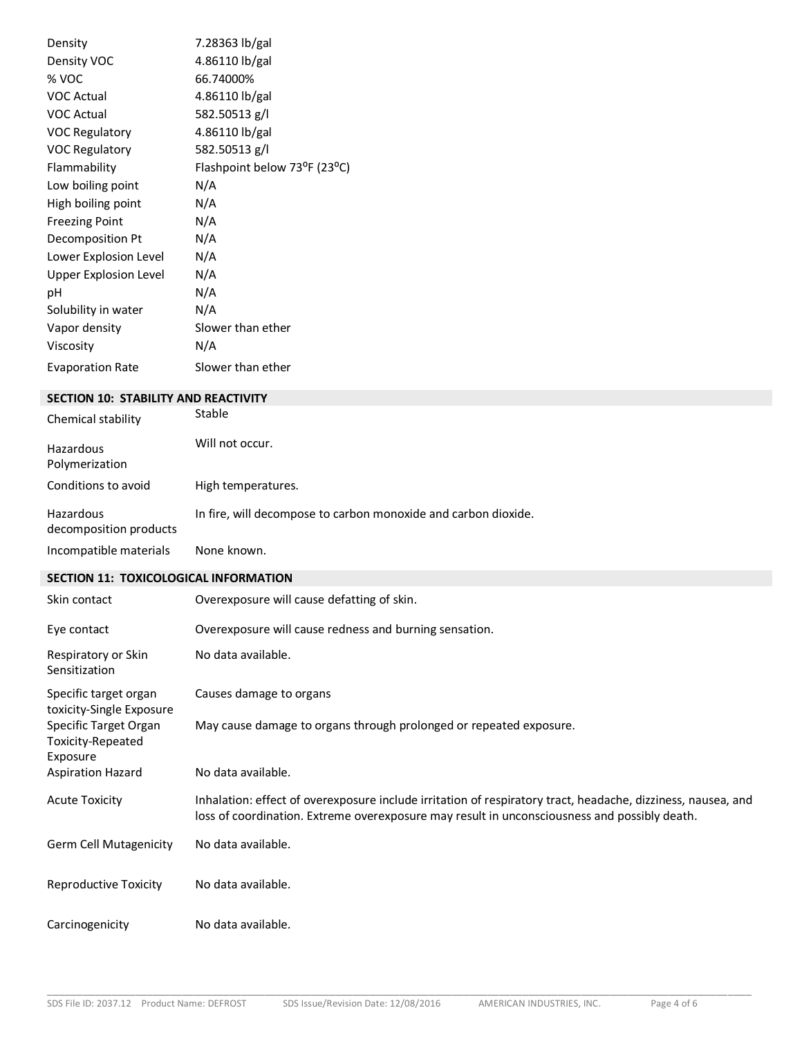| Density                 | 7.28363 lb/gal               |
|-------------------------|------------------------------|
| Density VOC             | 4.86110 lb/gal               |
| % VOC                   | 66.74000%                    |
| <b>VOC Actual</b>       | 4.86110 lb/gal               |
| <b>VOC Actual</b>       | 582.50513 g/l                |
| <b>VOC Regulatory</b>   | 4.86110 lb/gal               |
| <b>VOC Regulatory</b>   | 582.50513 g/l                |
| Flammability            | Flashpoint below 73°F (23°C) |
| Low boiling point       | N/A                          |
| High boiling point      | N/A                          |
| <b>Freezing Point</b>   | N/A                          |
| Decomposition Pt        | N/A                          |
| Lower Explosion Level   | N/A                          |
| Upper Explosion Level   | N/A                          |
| рH                      | N/A                          |
| Solubility in water     | N/A                          |
| Vapor density           | Slower than ether            |
| Viscosity               | N/A                          |
| <b>Evaporation Rate</b> | Slower than ether            |

## **SECTION 10: STABILITY AND REACTIVITY**

| Chemical stability                  | Stable                                                         |
|-------------------------------------|----------------------------------------------------------------|
| Hazardous<br>Polymerization         | Will not occur.                                                |
| Conditions to avoid                 | High temperatures.                                             |
| Hazardous<br>decomposition products | In fire, will decompose to carbon monoxide and carbon dioxide. |
| Incompatible materials              | None known.                                                    |

# **SECTION 11: TOXICOLOGICAL INFORMATION**

| Skin contact                                           | Overexposure will cause defatting of skin.                                                                                                                                                                   |
|--------------------------------------------------------|--------------------------------------------------------------------------------------------------------------------------------------------------------------------------------------------------------------|
| Eye contact                                            | Overexposure will cause redness and burning sensation.                                                                                                                                                       |
| Respiratory or Skin<br>Sensitization                   | No data available.                                                                                                                                                                                           |
| Specific target organ<br>toxicity-Single Exposure      | Causes damage to organs                                                                                                                                                                                      |
| Specific Target Organ<br>Toxicity-Repeated<br>Exposure | May cause damage to organs through prolonged or repeated exposure.                                                                                                                                           |
| <b>Aspiration Hazard</b>                               | No data available.                                                                                                                                                                                           |
| <b>Acute Toxicity</b>                                  | Inhalation: effect of overexposure include irritation of respiratory tract, headache, dizziness, nausea, and<br>loss of coordination. Extreme overexposure may result in unconsciousness and possibly death. |
| <b>Germ Cell Mutagenicity</b>                          | No data available.                                                                                                                                                                                           |
| <b>Reproductive Toxicity</b>                           | No data available.                                                                                                                                                                                           |
| Carcinogenicity                                        | No data available.                                                                                                                                                                                           |

\_\_\_\_\_\_\_\_\_\_\_\_\_\_\_\_\_\_\_\_\_\_\_\_\_\_\_\_\_\_\_\_\_\_\_\_\_\_\_\_\_\_\_\_\_\_\_\_\_\_\_\_\_\_\_\_\_\_\_\_\_\_\_\_\_\_\_\_\_\_\_\_\_\_\_\_\_\_\_\_\_\_\_\_\_\_\_\_\_\_\_\_\_\_\_\_\_\_\_\_\_\_\_\_\_\_\_\_\_\_\_\_\_\_\_\_\_\_\_\_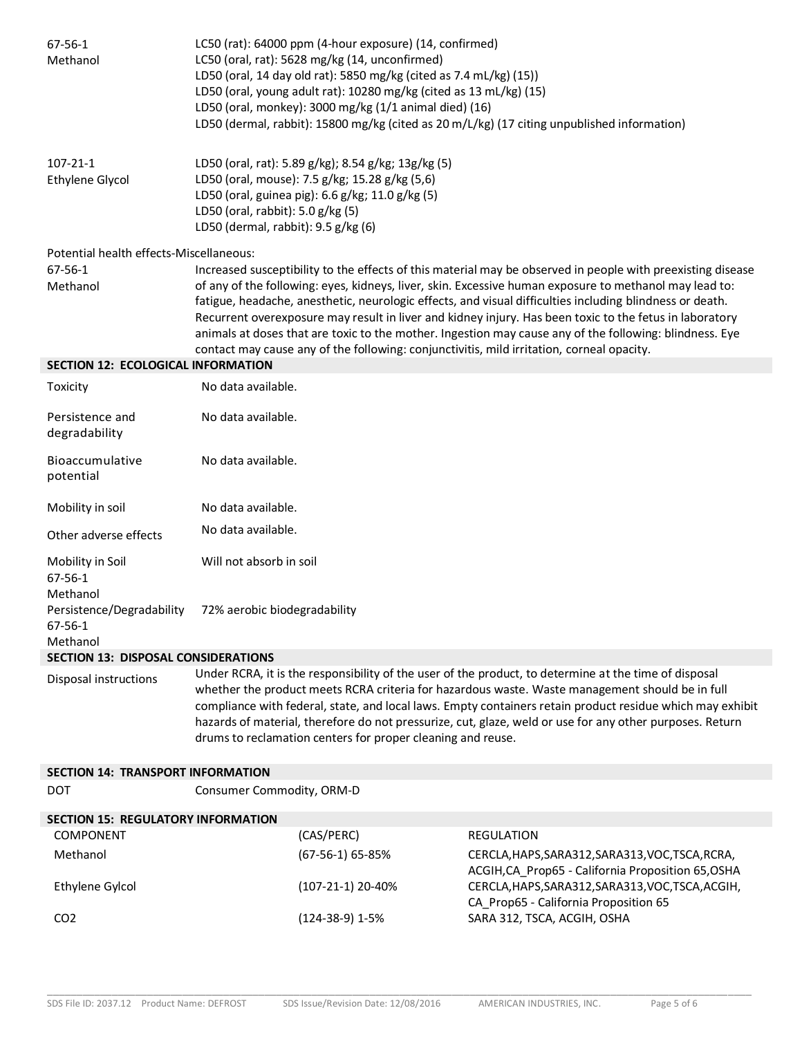| 67-56-1<br>Methanol                                    | LC50 (rat): 64000 ppm (4-hour exposure) (14, confirmed)<br>LC50 (oral, rat): 5628 mg/kg (14, unconfirmed)<br>LD50 (oral, 14 day old rat): 5850 mg/kg (cited as 7.4 mL/kg) (15))<br>LD50 (oral, young adult rat): 10280 mg/kg (cited as 13 mL/kg) (15)<br>LD50 (oral, monkey): 3000 mg/kg (1/1 animal died) (16)<br>LD50 (dermal, rabbit): 15800 mg/kg (cited as 20 m/L/kg) (17 citing unpublished information)                                                                                                                                                                                                                                       |                                       |                                                                                                                                                             |
|--------------------------------------------------------|------------------------------------------------------------------------------------------------------------------------------------------------------------------------------------------------------------------------------------------------------------------------------------------------------------------------------------------------------------------------------------------------------------------------------------------------------------------------------------------------------------------------------------------------------------------------------------------------------------------------------------------------------|---------------------------------------|-------------------------------------------------------------------------------------------------------------------------------------------------------------|
| $107 - 21 - 1$<br><b>Ethylene Glycol</b>               | LD50 (oral, rat): 5.89 g/kg); 8.54 g/kg; 13g/kg (5)<br>LD50 (oral, mouse): 7.5 g/kg; 15.28 g/kg (5,6)<br>LD50 (oral, guinea pig): 6.6 g/kg; 11.0 g/kg (5)<br>LD50 (oral, rabbit): 5.0 g/kg (5)<br>LD50 (dermal, rabbit): 9.5 g/kg (6)                                                                                                                                                                                                                                                                                                                                                                                                                |                                       |                                                                                                                                                             |
| Potential health effects-Miscellaneous:                |                                                                                                                                                                                                                                                                                                                                                                                                                                                                                                                                                                                                                                                      |                                       |                                                                                                                                                             |
| $67 - 56 - 1$<br>Methanol                              | Increased susceptibility to the effects of this material may be observed in people with preexisting disease<br>of any of the following: eyes, kidneys, liver, skin. Excessive human exposure to methanol may lead to:<br>fatigue, headache, anesthetic, neurologic effects, and visual difficulties including blindness or death.<br>Recurrent overexposure may result in liver and kidney injury. Has been toxic to the fetus in laboratory<br>animals at doses that are toxic to the mother. Ingestion may cause any of the following: blindness. Eye<br>contact may cause any of the following: conjunctivitis, mild irritation, corneal opacity. |                                       |                                                                                                                                                             |
| <b>SECTION 12: ECOLOGICAL INFORMATION</b>              |                                                                                                                                                                                                                                                                                                                                                                                                                                                                                                                                                                                                                                                      |                                       |                                                                                                                                                             |
| Toxicity                                               | No data available.                                                                                                                                                                                                                                                                                                                                                                                                                                                                                                                                                                                                                                   |                                       |                                                                                                                                                             |
| Persistence and<br>degradability                       | No data available.                                                                                                                                                                                                                                                                                                                                                                                                                                                                                                                                                                                                                                   |                                       |                                                                                                                                                             |
| Bioaccumulative<br>potential                           | No data available.                                                                                                                                                                                                                                                                                                                                                                                                                                                                                                                                                                                                                                   |                                       |                                                                                                                                                             |
| Mobility in soil                                       | No data available.                                                                                                                                                                                                                                                                                                                                                                                                                                                                                                                                                                                                                                   |                                       |                                                                                                                                                             |
| Other adverse effects                                  | No data available.                                                                                                                                                                                                                                                                                                                                                                                                                                                                                                                                                                                                                                   |                                       |                                                                                                                                                             |
| Mobility in Soil<br>67-56-1<br>Methanol                | Will not absorb in soil                                                                                                                                                                                                                                                                                                                                                                                                                                                                                                                                                                                                                              |                                       |                                                                                                                                                             |
| Persistence/Degradability<br>$67 - 56 - 1$<br>Methanol | 72% aerobic biodegradability                                                                                                                                                                                                                                                                                                                                                                                                                                                                                                                                                                                                                         |                                       |                                                                                                                                                             |
| <b>SECTION 13: DISPOSAL CONSIDERATIONS</b>             |                                                                                                                                                                                                                                                                                                                                                                                                                                                                                                                                                                                                                                                      |                                       |                                                                                                                                                             |
| Disposal instructions                                  | Under RCRA, it is the responsibility of the user of the product, to determine at the time of disposal<br>whether the product meets RCRA criteria for hazardous waste. Waste management should be in full<br>compliance with federal, state, and local laws. Empty containers retain product residue which may exhibit<br>hazards of material, therefore do not pressurize, cut, glaze, weld or use for any other purposes. Return<br>drums to reclamation centers for proper cleaning and reuse.                                                                                                                                                     |                                       |                                                                                                                                                             |
| <b>SECTION 14: TRANSPORT INFORMATION</b>               |                                                                                                                                                                                                                                                                                                                                                                                                                                                                                                                                                                                                                                                      |                                       |                                                                                                                                                             |
| <b>DOT</b>                                             | Consumer Commodity, ORM-D                                                                                                                                                                                                                                                                                                                                                                                                                                                                                                                                                                                                                            |                                       |                                                                                                                                                             |
| <b>SECTION 15: REGULATORY INFORMATION</b>              |                                                                                                                                                                                                                                                                                                                                                                                                                                                                                                                                                                                                                                                      |                                       |                                                                                                                                                             |
| <b>COMPONENT</b>                                       |                                                                                                                                                                                                                                                                                                                                                                                                                                                                                                                                                                                                                                                      | (CAS/PERC)                            | <b>REGULATION</b>                                                                                                                                           |
| Methanol<br><b>Ethylene Gylcol</b>                     |                                                                                                                                                                                                                                                                                                                                                                                                                                                                                                                                                                                                                                                      | (67-56-1) 65-85%<br>(107-21-1) 20-40% | CERCLA, HAPS, SARA312, SARA313, VOC, TSCA, RCRA,<br>ACGIH, CA_Prop65 - California Proposition 65, OSHA<br>CERCLA, HAPS, SARA312, SARA313, VOC, TSCA, ACGIH, |
|                                                        |                                                                                                                                                                                                                                                                                                                                                                                                                                                                                                                                                                                                                                                      |                                       | CA_Prop65 - California Proposition 65                                                                                                                       |